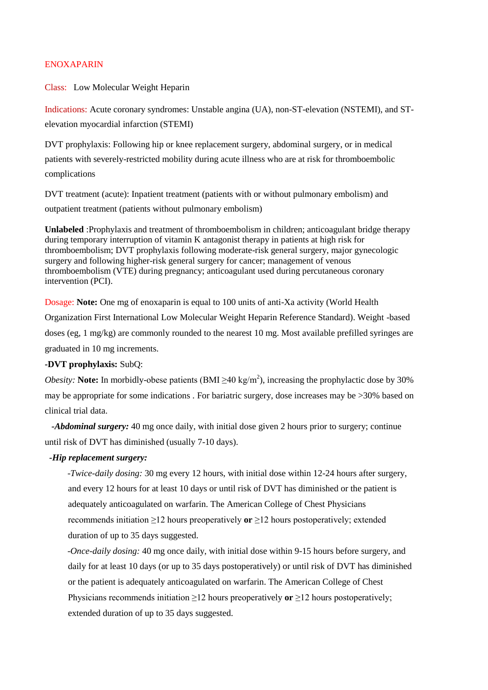# ENOXAPARIN

Class: Low Molecular Weight Heparin

Indications: Acute coronary syndromes: Unstable angina (UA), non-ST-elevation (NSTEMI), and STelevation myocardial infarction (STEMI)

DVT prophylaxis: Following hip or knee replacement surgery, abdominal surgery, or in medical patients with severely-restricted mobility during acute illness who are at risk for thromboembolic complications

DVT treatment (acute): Inpatient treatment (patients with or without pulmonary embolism) and outpatient treatment (patients without pulmonary embolism)

**Unlabeled** :Prophylaxis and treatment of thromboembolism in children; anticoagulant bridge therapy during temporary interruption of vitamin K antagonist therapy in patients at high risk for thromboembolism; DVT prophylaxis following moderate-risk general surgery, major gynecologic surgery and following higher-risk general surgery for cancer; management of venous thromboembolism (VTE) during pregnancy; anticoagulant used during percutaneous coronary intervention (PCI).

Dosage: **Note:** One mg of enoxaparin is equal to 100 units of anti-Xa activity (World Health

Organization First International Low Molecular Weight Heparin Reference Standard). Weight -based doses (eg, 1 mg/kg) are commonly rounded to the nearest 10 mg. Most available prefilled syringes are graduated in 10 mg increments.

# **-DVT prophylaxis:** SubQ:

*Obesity:* **Note:** In morbidly-obese patients (BMI $\geq$ 40 kg/m<sup>2</sup>), increasing the prophylactic dose by 30% may be appropriate for some indications . For bariatric surgery, dose increases may be >30% based on clinical trial data.

 *-Abdominal surgery:* 40 mg once daily, with initial dose given 2 hours prior to surgery; continue until risk of DVT has diminished (usually 7-10 days).

### *-Hip replacement surgery:*

 -*Twice-daily dosing:* 30 mg every 12 hours, with initial dose within 12-24 hours after surgery, and every 12 hours for at least 10 days or until risk of DVT has diminished or the patient is adequately anticoagulated on warfarin. The American College of Chest Physicians recommends initiation ≥12 hours preoperatively **or** ≥12 hours postoperatively; extended duration of up to 35 days suggested.

 -*Once-daily dosing:* 40 mg once daily, with initial dose within 9-15 hours before surgery, and daily for at least 10 days (or up to 35 days postoperatively) or until risk of DVT has diminished or the patient is adequately anticoagulated on warfarin. The American College of Chest Physicians recommends initiation ≥12 hours preoperatively **or** ≥12 hours postoperatively; extended duration of up to 35 days suggested.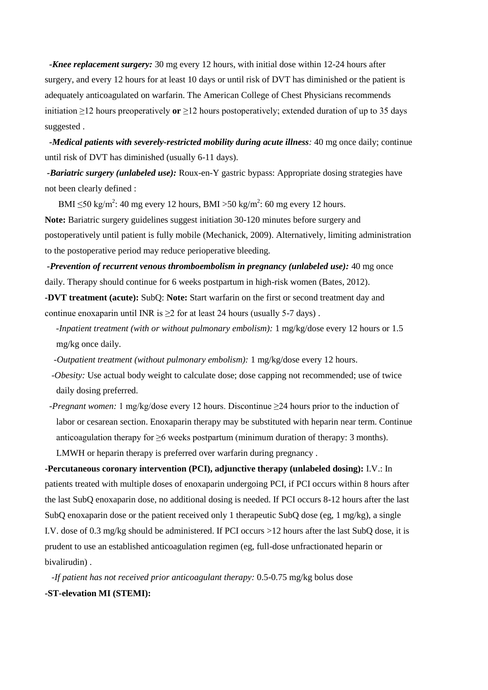*-Knee replacement surgery:* 30 mg every 12 hours, with initial dose within 12-24 hours after surgery, and every 12 hours for at least 10 days or until risk of DVT has diminished or the patient is adequately anticoagulated on warfarin. The American College of Chest Physicians recommends initiation ≥12 hours preoperatively **or** ≥12 hours postoperatively; extended duration of up to 35 days suggested .

 *-Medical patients with severely-restricted mobility during acute illness:* 40 mg once daily; continue until risk of DVT has diminished (usually 6-11 days).

*-Bariatric surgery (unlabeled use):* Roux-en-Y gastric bypass: Appropriate dosing strategies have not been clearly defined :

BMI  $\leq$ 50 kg/m<sup>2</sup>: 40 mg every 12 hours, BMI > 50 kg/m<sup>2</sup>: 60 mg every 12 hours.

**Note:** Bariatric surgery guidelines suggest initiation 30-120 minutes before surgery and postoperatively until patient is fully mobile (Mechanick, 2009). Alternatively, limiting administration to the postoperative period may reduce perioperative bleeding.

*-Prevention of recurrent venous thromboembolism in pregnancy (unlabeled use):* 40 mg once daily. Therapy should continue for 6 weeks postpartum in high-risk women (Bates, 2012).

**-DVT treatment (acute):** SubQ: **Note:** Start warfarin on the first or second treatment day and continue enoxaparin until INR is  $\geq$  2 for at least 24 hours (usually 5-7 days).

- *-Inpatient treatment (with or without pulmonary embolism):* 1 mg/kg/dose every 12 hours or 1.5 mg/kg once daily.
- *-Outpatient treatment (without pulmonary embolism):* 1 mg/kg/dose every 12 hours.
- *-Obesity:* Use actual body weight to calculate dose; dose capping not recommended; use of twice daily dosing preferred.

*-Pregnant women:* 1 mg/kg/dose every 12 hours. Discontinue ≥24 hours prior to the induction of labor or cesarean section. Enoxaparin therapy may be substituted with heparin near term. Continue anticoagulation therapy for  $\geq 6$  weeks postpartum (minimum duration of therapy: 3 months). LMWH or heparin therapy is preferred over warfarin during pregnancy .

**-Percutaneous coronary intervention (PCI), adjunctive therapy (unlabeled dosing):** I.V.: In patients treated with multiple doses of enoxaparin undergoing PCI, if PCI occurs within 8 hours after the last SubQ enoxaparin dose, no additional dosing is needed. If PCI occurs 8-12 hours after the last SubQ enoxaparin dose or the patient received only 1 therapeutic SubQ dose (eg, 1 mg/kg), a single I.V. dose of 0.3 mg/kg should be administered. If PCI occurs >12 hours after the last SubQ dose, it is prudent to use an established anticoagulation regimen (eg, full-dose unfractionated heparin or bivalirudin) .

 *-If patient has not received prior anticoagulant therapy:* 0.5-0.75 mg/kg bolus dose **-ST-elevation MI (STEMI):**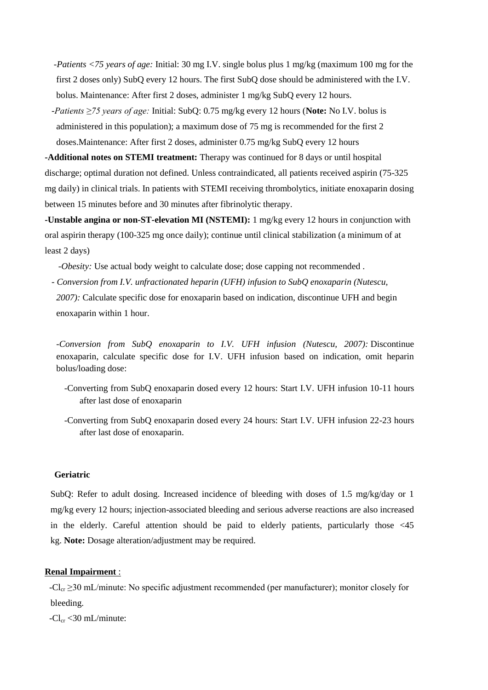*-Patients <75 years of age:* Initial: 30 mg I.V. single bolus plus 1 mg/kg (maximum 100 mg for the first 2 doses only) SubQ every 12 hours. The first SubQ dose should be administered with the I.V. bolus. Maintenance: After first 2 doses, administer 1 mg/kg SubQ every 12 hours.

 *-Patients ≥75 years of age:* Initial: SubQ: 0.75 mg/kg every 12 hours (**Note:** No I.V. bolus is administered in this population); a maximum dose of 75 mg is recommended for the first 2 doses.Maintenance: After first 2 doses, administer 0.75 mg/kg SubQ every 12 hours

**-Additional notes on STEMI treatment:** Therapy was continued for 8 days or until hospital discharge; optimal duration not defined. Unless contraindicated, all patients received aspirin (75-325 mg daily) in clinical trials. In patients with STEMI receiving thrombolytics, initiate enoxaparin dosing between 15 minutes before and 30 minutes after fibrinolytic therapy.

**-Unstable angina or non-ST-elevation MI (NSTEMI):** 1 mg/kg every 12 hours in conjunction with oral aspirin therapy (100-325 mg once daily); continue until clinical stabilization (a minimum of at least 2 days)

 *-Obesity:* Use actual body weight to calculate dose; dose capping not recommended .

 *- Conversion from I.V. unfractionated heparin (UFH) infusion to SubQ enoxaparin (Nutescu, 2007):* Calculate specific dose for enoxaparin based on indication, discontinue UFH and begin enoxaparin within 1 hour.

*-Conversion from SubQ enoxaparin to I.V. UFH infusion (Nutescu, 2007):* Discontinue enoxaparin, calculate specific dose for I.V. UFH infusion based on indication, omit heparin bolus/loading dose:

- -Converting from SubQ enoxaparin dosed every 12 hours: Start I.V. UFH infusion 10-11 hours after last dose of enoxaparin
- -Converting from SubQ enoxaparin dosed every 24 hours: Start I.V. UFH infusion 22-23 hours after last dose of enoxaparin.

### **Geriatric**

SubQ: Refer to adult dosing. Increased incidence of bleeding with doses of 1.5 mg/kg/day or 1 mg/kg every 12 hours; injection-associated bleeding and serious adverse reactions are also increased in the elderly. Careful attention should be paid to elderly patients, particularly those  $\langle 45 \rangle$ kg. **Note:** Dosage alteration/adjustment may be required.

### **Renal Impairment** :

 $-Cl_{cr} \ge 30$  mL/minute: No specific adjustment recommended (per manufacturer); monitor closely for bleeding.

 $-Cl_{cr} < 30$  mL/minute: